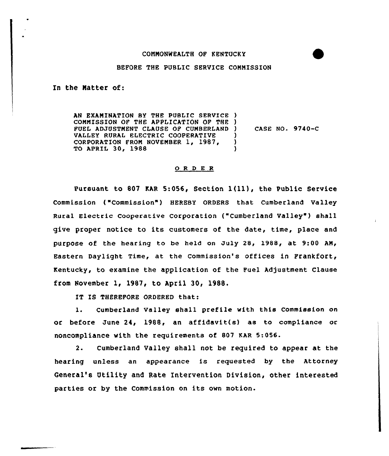## COMMONWEALTH OF KENTUCKY

## BEFORE THE PUBLIC SERVICE COMMISSION

ln the Natter of:

AN EXAMINATION BY THE PUBLIC SERVICE ) COMMISSION OF THE APPLICATION OF THE ) FUEL ADJUSTMENT CLAUSE OF CUMBERLAND VALLEY RURAL ELECTRIC COOPERATIVE CORPORATION FROM NOVEMBER 1, 1987, TO APRIL 30, 1988 ) CASE NO. 9740-C ) )

## 0 <sup>R</sup> <sup>D</sup> E R

Pursuant to <sup>807</sup> EAR 5:056, Section l (ll), the Public Service Commission ("Commission" ) HEREBY ORDERS that Cumberland Valley Rural Electric cooperative corporation ("cumberland valley" ) shall give proper notice to its customers of the date, time, place and purpose of the hearing to be held on July 28, 1988, at 9:00 AM/ Eastern Daylight Time, at the commission's offices in Frankfort, Kentucky, to examine the application of the Fuel Adjustment Clause from November 1, 1987, to April 30, 1988,

IT IS THEREFORE ORDERED that:

1. Cumberland Valley shall prefile with this Commission on or before June 24, 1988, an affidavit(s) as to compliance or noncompliance with the requirements of 807 KAR 5:056.

2- Cumberland Valley shall not be required to appear at the hearing unless an appearance is requested by the Attorney General's Utility and Rate Intervention Division, other interested parties or by the Commission on its own motion.